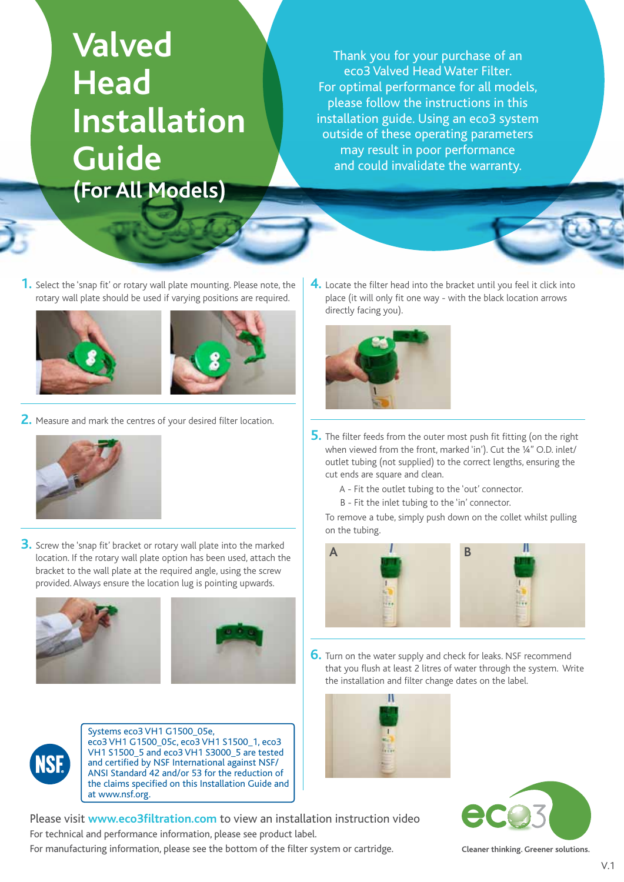# **Valved Head Installation Guide (For All Models)**

Thank you for your purchase of an eco3 Valved Head Water Filter. For optimal performance for all models, please follow the instructions in this installation guide. Using an eco3 system outside of these operating parameters may result in poor performance and could invalidate the warranty.

**1.** Select the 'snap fit' or rotary wall plate mounting. Please note, the rotary wall plate should be used if varying positions are required.





**2.** Measure and mark the centres of your desired filter location.



**3.** Screw the 'snap fit' bracket or rotary wall plate into the marked location. If the rotary wall plate option has been used, attach the bracket to the wall plate at the required angle, using the screw provided. Always ensure the location lug is pointing upwards.





Systems eco3 VH1 G1500\_05e, eco3 VH1 G1500\_05c, eco3 VH1 S1500\_1, eco3 VH1 S1500\_5 and eco3 VH1 S3000\_5 are tested and certified by NSF International against NSF/ ANSI Standard 42 and/or 53 for the reduction of the claims specified on this Installation Guide and at www.nsf.org.

**4.** Locate the filter head into the bracket until you feel it click into place (it will only fit one way - with the black location arrows directly facing you).



- **5.** The filter feeds from the outer most push fit fitting (on the right when viewed from the front, marked 'in'). Cut the ¼" O.D. inlet/ outlet tubing (not supplied) to the correct lengths, ensuring the cut ends are square and clean.
	- A Fit the outlet tubing to the 'out' connector.
	- B Fit the inlet tubing to the 'in' connector.

To remove a tube, simply push down on the collet whilst pulling on the tubing.



**6.** Turn on the water supply and check for leaks. NSF recommend that you flush at least 2 litres of water through the system. Write the installation and filter change dates on the label.



Please visit **www.eco3filtration.com** to view an installation instruction video For technical and performance information, please see product label. For manufacturing information, please see the bottom of the filter system or cartridge.



**Cleaner thinking. Greener solutions.**